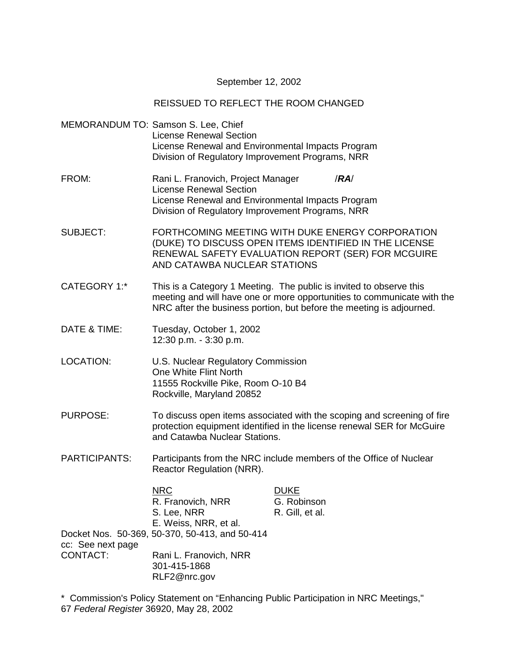## September 12, 2002

### REISSUED TO REFLECT THE ROOM CHANGED

MEMORANDUM TO: Samson S. Lee, Chief License Renewal Section License Renewal and Environmental Impacts Program Division of Regulatory Improvement Programs, NRR FROM: Rani L. Franovich, Project Manager /**RA**/ License Renewal Section License Renewal and Environmental Impacts Program Division of Regulatory Improvement Programs, NRR SUBJECT: FORTHCOMING MEETING WITH DUKE ENERGY CORPORATION (DUKE) TO DISCUSS OPEN ITEMS IDENTIFIED IN THE LICENSE RENEWAL SAFETY EVALUATION REPORT (SER) FOR MCGUIRE AND CATAWBA NUCLEAR STATIONS CATEGORY 1:\* This is a Category 1 Meeting. The public is invited to observe this meeting and will have one or more opportunities to communicate with the NRC after the business portion, but before the meeting is adjourned. DATE & TIME: Tuesday, October 1, 2002 12:30 p.m. - 3:30 p.m. LOCATION: U.S. Nuclear Regulatory Commission One White Flint North 11555 Rockville Pike, Room O-10 B4 Rockville, Maryland 20852 PURPOSE: To discuss open items associated with the scoping and screening of fire protection equipment identified in the license renewal SER for McGuire and Catawba Nuclear Stations. PARTICIPANTS: Participants from the NRC include members of the Office of Nuclear Reactor Regulation (NRR). NRC DUKE R. Franovich, NRR G. Robinson S. Lee, NRR R. Gill, et al. E. Weiss, NRR, et al. Docket Nos. 50-369, 50-370, 50-413, and 50-414 cc: See next page CONTACT: Rani L. Franovich, NRR 301-415-1868 RLF2@nrc.gov

\* Commission's Policy Statement on "Enhancing Public Participation in NRC Meetings," 67 Federal Register 36920, May 28, 2002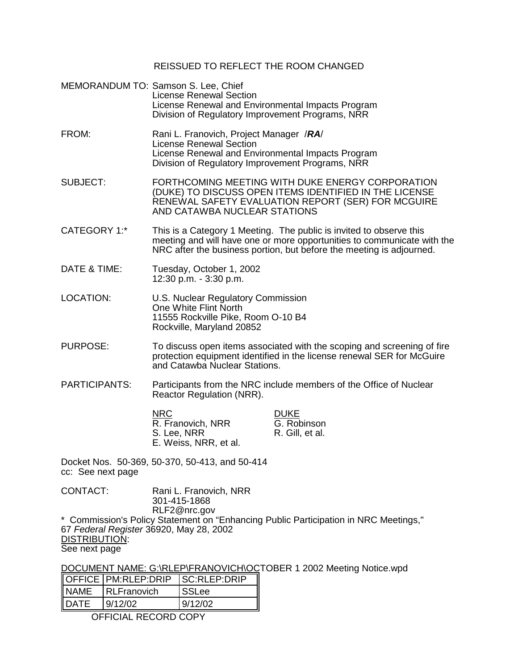# REISSUED TO REFLECT THE ROOM CHANGED

|                   | MEMORANDUM TO: Samson S. Lee, Chief<br><b>License Renewal Section</b><br>License Renewal and Environmental Impacts Program<br>Division of Regulatory Improvement Programs, NRR                                         |                                                                    |
|-------------------|------------------------------------------------------------------------------------------------------------------------------------------------------------------------------------------------------------------------|--------------------------------------------------------------------|
| FROM:             | Rani L. Franovich, Project Manager / RA/<br><b>License Renewal Section</b><br>License Renewal and Environmental Impacts Program<br>Division of Regulatory Improvement Programs, NRR                                    |                                                                    |
| <b>SUBJECT:</b>   | FORTHCOMING MEETING WITH DUKE ENERGY CORPORATION<br>(DUKE) TO DISCUSS OPEN ITEMS IDENTIFIED IN THE LICENSE<br>RENEWAL SAFETY EVALUATION REPORT (SER) FOR MCGUIRE<br>AND CATAWBA NUCLEAR STATIONS                       |                                                                    |
| CATEGORY 1:*      | This is a Category 1 Meeting. The public is invited to observe this<br>meeting and will have one or more opportunities to communicate with the<br>NRC after the business portion, but before the meeting is adjourned. |                                                                    |
| DATE & TIME:      | Tuesday, October 1, 2002<br>12:30 p.m. - 3:30 p.m.                                                                                                                                                                     |                                                                    |
| LOCATION:         | U.S. Nuclear Regulatory Commission<br>One White Flint North<br>11555 Rockville Pike, Room O-10 B4<br>Rockville, Maryland 20852                                                                                         |                                                                    |
| <b>PURPOSE:</b>   | To discuss open items associated with the scoping and screening of fire<br>protection equipment identified in the license renewal SER for McGuire<br>and Catawba Nuclear Stations.                                     |                                                                    |
| PARTICIPANTS:     | Reactor Regulation (NRR).                                                                                                                                                                                              | Participants from the NRC include members of the Office of Nuclear |
|                   | <b>NRC</b><br>R. Franovich, NRR<br>S. Lee, NRR<br>E. Weiss, NRR, et al.                                                                                                                                                | <b>DUKE</b><br>G. Robinson<br>R. Gill, et al.                      |
| cc: See next page | Docket Nos. 50-369, 50-370, 50-413, and 50-414                                                                                                                                                                         |                                                                    |

CONTACT: Rani L. Franovich, NRR 301-415-1868 RLF2@nrc.gov

\* Commission's Policy Statement on "Enhancing Public Participation in NRC Meetings," 67 Federal Register 36920, May 28, 2002 DISTRIBUTION: See next page

DOCUMENT NAME: G:\RLEP\FRANOVICH\OCTOBER 1 2002 Meeting Notice.wpd

|             | OFFICE   PM:RLEP:DRIP   SC:RLEP:DRIP |              |
|-------------|--------------------------------------|--------------|
| <b>NAME</b> | <b>RLFranovich</b>                   | <b>SSLee</b> |
| DATE        | 9/12/02                              | 9/12/02      |

OFFICIAL RECORD COPY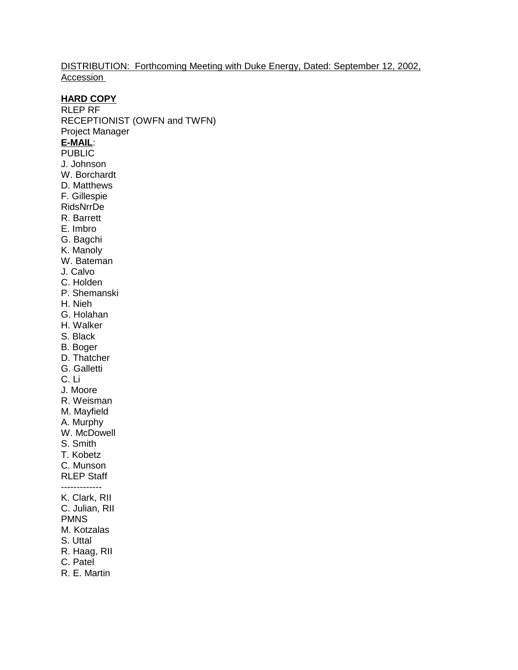### DISTRIBUTION: Forthcoming Meeting with Duke Energy, Dated: September 12, 2002, Accession

## **HARD COPY**

RLEP RF RECEPTIONIST (OWFN and TWFN) Project Manager **E-MAIL**: PUBLIC J. Johnson W. Borchardt D. Matthews F. Gillespie RidsNrrDe R. Barrett E. Imbro G. Bagchi K. Manoly W. Bateman J. Calvo C. Holden P. Shemanski H. Nieh G. Holahan H. Walker S. Black B. Boger D. Thatcher G. Galletti C. Li J. Moore R. Weisman M. Mayfield A. Murphy W. McDowell S. Smith T. Kobetz C. Munson RLEP Staff ------------- K. Clark, RII C. Julian, RII PMNS M. Kotzalas S. Uttal R. Haag, RII C. Patel R. E. Martin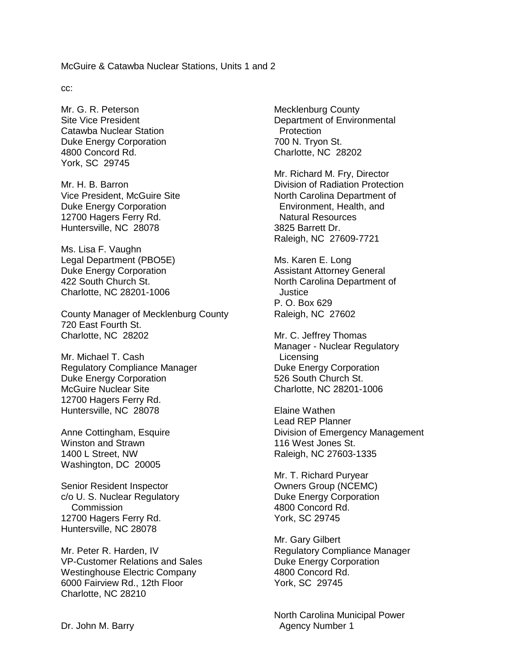McGuire & Catawba Nuclear Stations, Units 1 and 2

cc:

Mr. G. R. Peterson Site Vice President Catawba Nuclear Station Duke Energy Corporation 4800 Concord Rd. York, SC 29745

Mr. H. B. Barron Vice President, McGuire Site Duke Energy Corporation 12700 Hagers Ferry Rd. Huntersville, NC 28078

Ms. Lisa F. Vaughn Legal Department (PBO5E) Duke Energy Corporation 422 South Church St. Charlotte, NC 28201-1006

County Manager of Mecklenburg County 720 East Fourth St. Charlotte, NC 28202

Mr. Michael T. Cash Regulatory Compliance Manager Duke Energy Corporation McGuire Nuclear Site 12700 Hagers Ferry Rd. Huntersville, NC 28078

Anne Cottingham, Esquire Winston and Strawn 1400 L Street, NW Washington, DC 20005

Senior Resident Inspector c/o U. S. Nuclear Regulatory **Commission** 12700 Hagers Ferry Rd. Huntersville, NC 28078

Mr. Peter R. Harden, IV VP-Customer Relations and Sales Westinghouse Electric Company 6000 Fairview Rd., 12th Floor Charlotte, NC 28210

Mecklenburg County Department of Environmental **Protection** 700 N. Tryon St. Charlotte, NC 28202

Mr. Richard M. Fry, Director Division of Radiation Protection North Carolina Department of Environment, Health, and Natural Resources 3825 Barrett Dr. Raleigh, NC 27609-7721

Ms. Karen E. Long Assistant Attorney General North Carolina Department of Justice P. O. Box 629 Raleigh, NC 27602

Mr. C. Jeffrey Thomas Manager - Nuclear Regulatory **Licensing** Duke Energy Corporation 526 South Church St. Charlotte, NC 28201-1006

Elaine Wathen Lead REP Planner Division of Emergency Management 116 West Jones St. Raleigh, NC 27603-1335

Mr. T. Richard Puryear Owners Group (NCEMC) Duke Energy Corporation 4800 Concord Rd. York, SC 29745

Mr. Gary Gilbert Regulatory Compliance Manager Duke Energy Corporation 4800 Concord Rd. York, SC 29745

North Carolina Municipal Power Agency Number 1